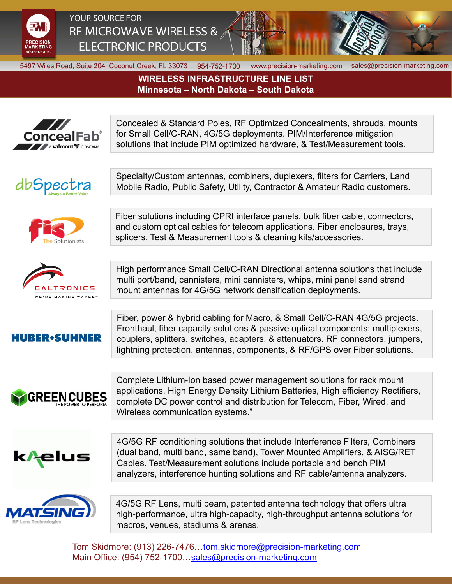

## YOUR SOURCE FOR RF MICROWAVE WIRELESS & **ELECTRONIC PRODUCTS**



5497 Wiles Road, Suite 204, Coconut Creek, FL 33073 954-752-1700

www.precision-marketing.com sales@precision-marketing.com

## **WIRELESS INFRASTRUCTURE LINE LIST Minnesota – North Dakota – South Dakota**